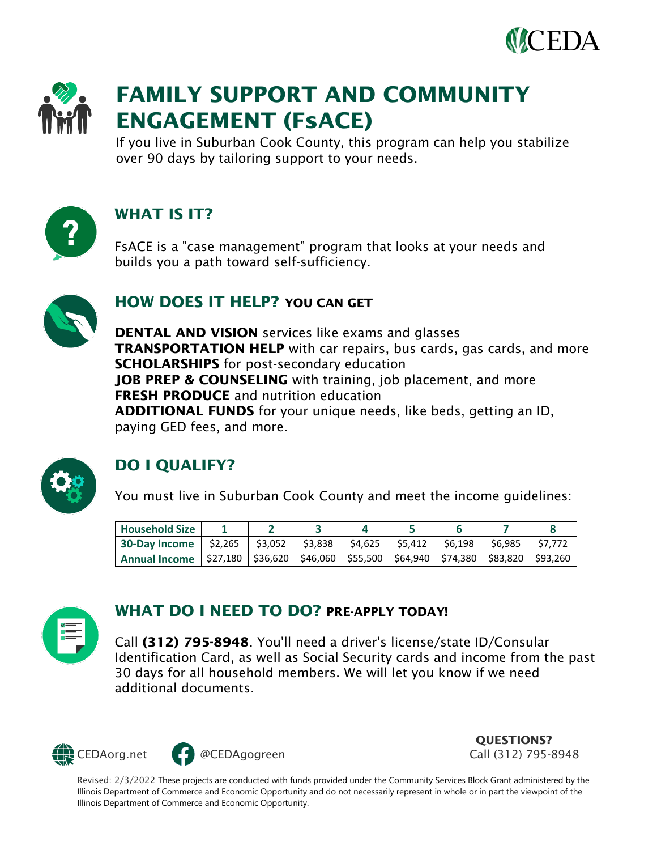



# **FAMILY SUPPORT AND COMMUNITY ENGAGEMENT (FsACE)**

If you live in Suburban Cook County, this program can help you stabilize over 90 days by tailoring support to your needs.



# **WHAT IS IT?**

FsACE is a "case management" program that looks at your needs and builds you a path toward self-sufficiency.



#### **HOW DOES IT HELP? YOU CAN GET**

**DENTAL AND VISION** services like exams and glasses **TRANSPORTATION HELP** with car repairs, bus cards, gas cards, and more **SCHOLARSHIPS** for post-secondary education **JOB PREP & COUNSELING** with training, job placement, and more **FRESH PRODUCE** and nutrition education **ADDITIONAL FUNDS** for your unique needs, like beds, getting an ID, paying GED fees, and more.



# **DO I QUALIFY?**

You must live in Suburban Cook County and meet the income guidelines:

| <b>Household Size</b>                                                                                 |  |  |  |  |
|-------------------------------------------------------------------------------------------------------|--|--|--|--|
| 30-Day Income   \$2,265   \$3,052   \$3,838   \$4,625   \$5,412   \$6,198   \$6,985   \$7,772         |  |  |  |  |
| Annual Income   \$27,180   \$36,620   \$46,060   \$55,500   \$64,940   \$74,380   \$83,820   \$93,260 |  |  |  |  |



#### **WHAT DO I NEED TO DO? PRE-APPLY TODAY!**

Call **(312) 795-8948**. You'll need a driver's license/state ID/Consular Identification Card, as well as Social Security cards and income from the past 30 days for all household members. We will let you know if we need additional documents.



**QUESTIONS?**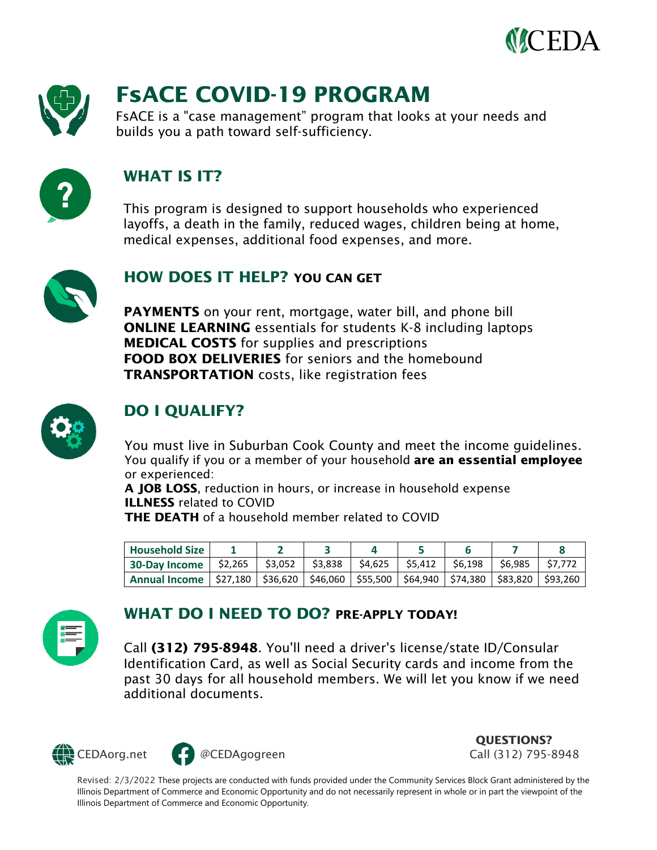



# **FsACE COVID-19 PROGRAM**

FsACE is a "case management" program that looks at your needs and builds you a path toward self-sufficiency.



## **WHAT IS IT?**

This program is designed to support households who experienced layoffs, a death in the family, reduced wages, children being at home, medical expenses, additional food expenses, and more.



### **HOW DOES IT HELP? YOU CAN GET**

**PAYMENTS** on your rent, mortgage, water bill, and phone bill **ONLINE LEARNING** essentials for students K-8 including laptops **MEDICAL COSTS** for supplies and prescriptions **FOOD BOX DELIVERIES** for seniors and the homebound **TRANSPORTATION** costs, like registration fees



## **DO I QUALIFY?**

You must live in Suburban Cook County and meet the income guidelines. You qualify if you or a member of your household **are an essential employee**  or experienced:

**A JOB LOSS**, reduction in hours, or increase in household expense **ILLNESS** related to COVID **THE DEATH** of a household member related to COVID

| <b>Household Size</b>                                                                                 |                                                                               |  |  |  |
|-------------------------------------------------------------------------------------------------------|-------------------------------------------------------------------------------|--|--|--|
| 30-Day Income                                                                                         | \$2,265   \$3,052   \$3,838   \$4,625   \$5,412   \$6,198   \$6,985   \$7,772 |  |  |  |
| Annual Income   \$27,180   \$36,620   \$46,060   \$55,500   \$64,940   \$74,380   \$83,820   \$93,260 |                                                                               |  |  |  |



#### **WHAT DO I NEED TO DO? PRE-APPLY TODAY!**

Call **(312) 795-8948**. You'll need a driver's license/state ID/Consular Identification Card, as well as Social Security cards and income from the past 30 days for all household members. We will let you know if we need additional documents.



**QUESTIONS?**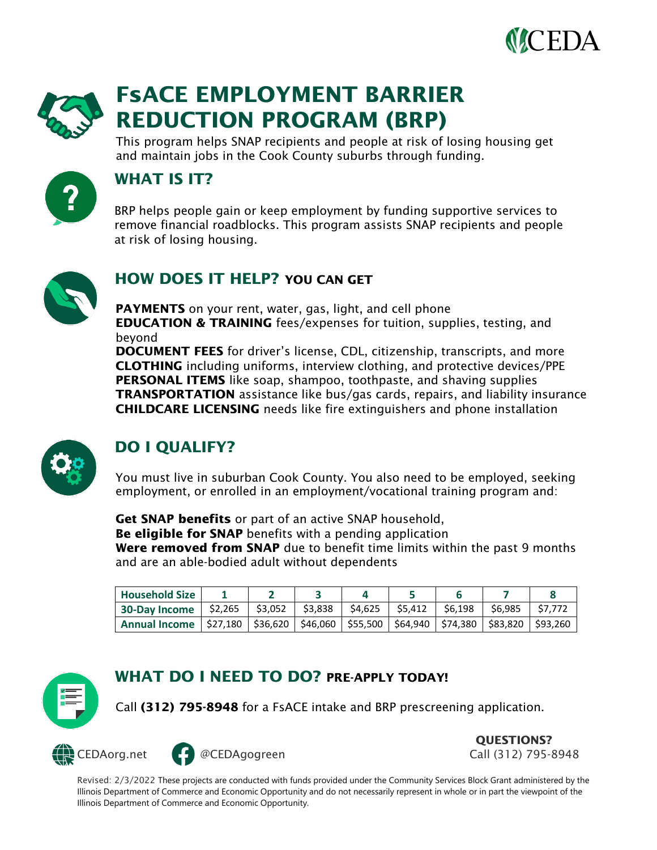



# **FsACE EMPLOYMENT BARRIER REDUCTION PROGRAM (BRP)**

This program helps SNAP recipients and people at risk of losing housing get and maintain jobs in the Cook County suburbs through funding.



## **WHAT IS IT?**

BRP helps people gain or keep employment by funding supportive services to remove financial roadblocks. This program assists SNAP recipients and people at risk of losing housing.



### **HOW DOES IT HELP? YOU CAN GET**

**PAYMENTS** on your rent, water, gas, light, and cell phone **EDUCATION & TRAINING** fees/expenses for tuition, supplies, testing, and beyond

**DOCUMENT FEES** for driver's license, CDL, citizenship, transcripts, and more **CLOTHING** including uniforms, interview clothing, and protective devices/PPE **PERSONAL ITEMS** like soap, shampoo, toothpaste, and shaving supplies **TRANSPORTATION** assistance like bus/gas cards, repairs, and liability insurance **CHILDCARE LICENSING** needs like fire extinguishers and phone installation



## **DO I QUALIFY?**

You must live in suburban Cook County. You also need to be employed, seeking employment, or enrolled in an employment/vocational training program and:

**Get SNAP benefits** or part of an active SNAP household, **Be eligible for SNAP** benefits with a pending application **Were removed from SNAP** due to benefit time limits within the past 9 months and are an able-bodied adult without dependents

| <b>Household Size</b>                                                                                 |         |                   |         |                             |  |         |
|-------------------------------------------------------------------------------------------------------|---------|-------------------|---------|-----------------------------|--|---------|
| <b>30-Day Income</b>                                                                                  | \$2,265 | \$3,052   \$3,838 | \$4.625 | \$5,412   \$6,198   \$6,985 |  | \$7.772 |
| Annual Income   \$27,180   \$36,620   \$46,060   \$55,500   \$64,940   \$74,380   \$83,820   \$93,260 |         |                   |         |                             |  |         |

### **WHAT DO I NEED TO DO? PRE-APPLY TODAY!**

Call **(312) 795-8948** for a FsACE intake and BRP prescreening application.





**QUESTIONS?**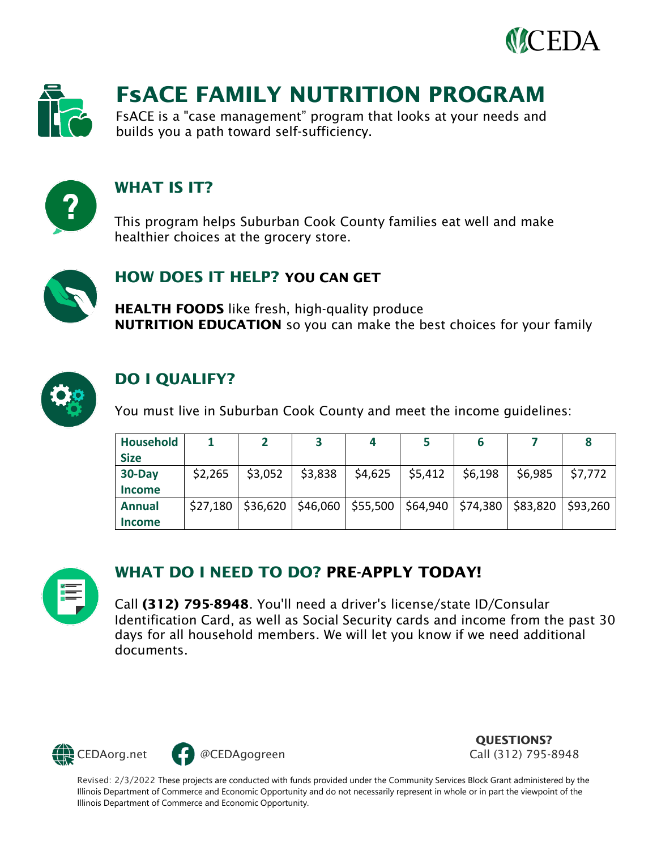



# **FsACE FAMILY NUTRITION PROGRAM**

FsACE is a "case management" program that looks at your needs and builds you a path toward self-sufficiency.



## **WHAT IS IT?**

This program helps Suburban Cook County families eat well and make healthier choices at the grocery store.



#### **HOW DOES IT HELP? YOU CAN GET**

**HEALTH FOODS** like fresh, high-quality produce **NUTRITION EDUCATION** so you can make the best choices for your family



## **DO I QUALIFY?**

You must live in Suburban Cook County and meet the income guidelines:

| <b>Household</b> |          |         |         | 4        |         | b       |                                                                            |         |
|------------------|----------|---------|---------|----------|---------|---------|----------------------------------------------------------------------------|---------|
| <b>Size</b>      |          |         |         |          |         |         |                                                                            |         |
| $30$ -Day        | \$2,265  | \$3,052 | \$3,838 | $$4,625$ | \$5,412 | \$6,198 | \$6,985                                                                    | \$7,772 |
| <b>Income</b>    |          |         |         |          |         |         |                                                                            |         |
| <b>Annual</b>    | \$27,180 |         |         |          |         |         | \$36,620   \$46,060   \$55,500   \$64,940   \$74,380   \$83,820   \$93,260 |         |
| <b>Income</b>    |          |         |         |          |         |         |                                                                            |         |



# **WHAT DO I NEED TO DO? PRE-APPLY TODAY!**

Call **(312) 795-8948**. You'll need a driver's license/state ID/Consular Identification Card, as well as Social Security cards and income from the past 30 days for all household members. We will let you know if we need additional documents.



**QUESTIONS?**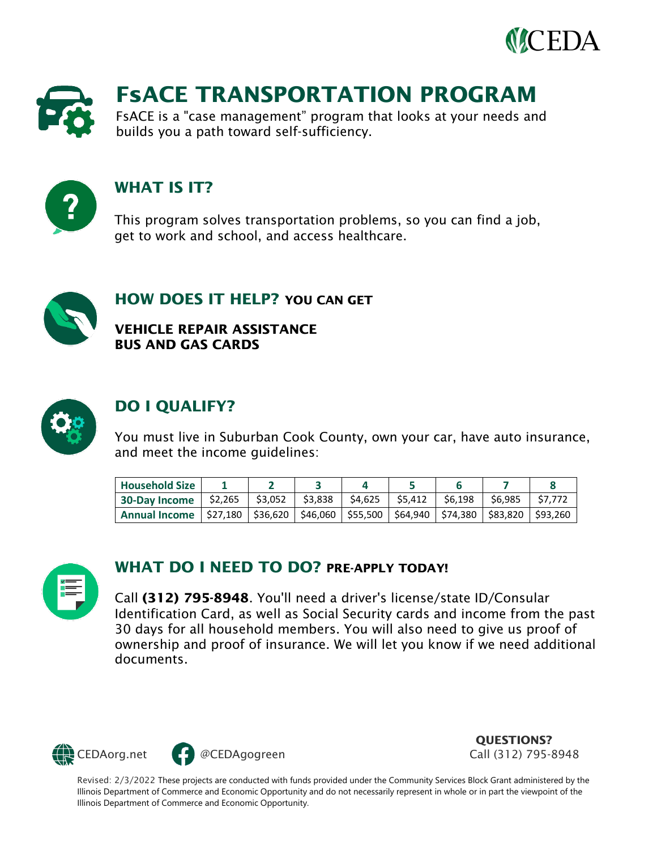



# **FsACE TRANSPORTATION PROGRAM**

FsACE is a "case management" program that looks at your needs and builds you a path toward self-sufficiency.



### **WHAT IS IT?**

This program solves transportation problems, so you can find a job, get to work and school, and access healthcare.



### **HOW DOES IT HELP? YOU CAN GET**

**VEHICLE REPAIR ASSISTANCE BUS AND GAS CARDS**



## **DO I QUALIFY?**

You must live in Suburban Cook County, own your car, have auto insurance, and meet the income guidelines:

| <b>Household Size</b>                                                                                 |  |  |  |  |
|-------------------------------------------------------------------------------------------------------|--|--|--|--|
| 30-Day Income   \$2,265   \$3,052   \$3,838   \$4,625   \$5,412   \$6,198   \$6,985   \$7,772         |  |  |  |  |
| Annual Income   \$27,180   \$36,620   \$46,060   \$55,500   \$64,940   \$74,380   \$83,820   \$93,260 |  |  |  |  |



### **WHAT DO I NEED TO DO? PRE-APPLY TODAY!**

Call **(312) 795-8948**. You'll need a driver's license/state ID/Consular Identification Card, as well as Social Security cards and income from the past 30 days for all household members. You will also need to give us proof of ownership and proof of insurance. We will let you know if we need additional documents.



**QUESTIONS?**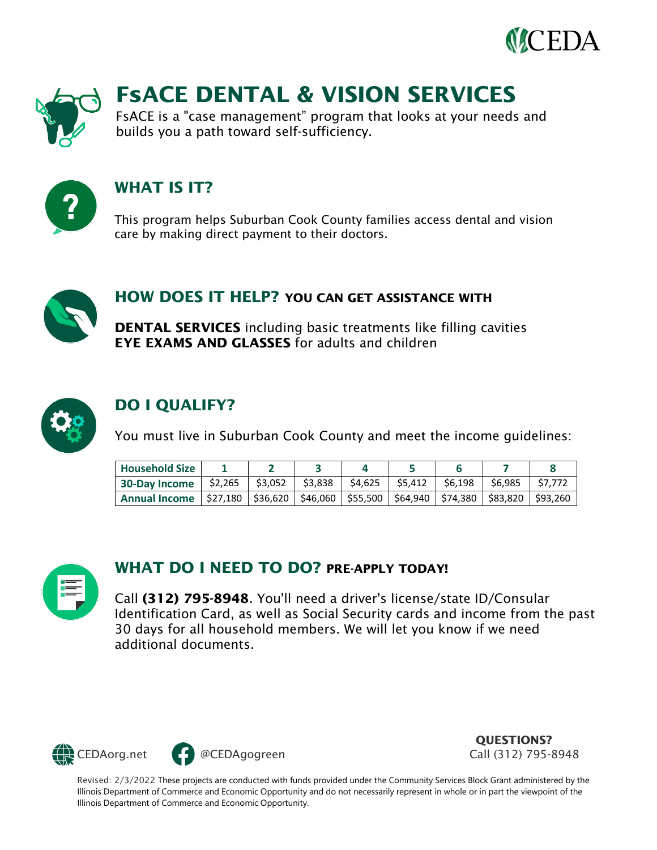



# **FsACE DENTAL & VISION SERVICES**

FsACE is a "case management" program that looks at your needs and builds you a path toward self-sufficiency.



### **WHAT IS IT?**

This program helps Suburban Cook County families access dental and vision care by making direct payment to their doctors.



#### **HOW DOES IT HELP? YOU CAN GET ASSISTANCE WITH**

**DENTAL SERVICES** including basic treatments like filling cavities **EYE EXAMS AND GLASSES** for adults and children



## **DO I QUALIFY?**

You must live in Suburban Cook County and meet the income guidelines:

| <b>Household Size</b>                                                                                 |  |                                                                                                                                           |  |  |        |
|-------------------------------------------------------------------------------------------------------|--|-------------------------------------------------------------------------------------------------------------------------------------------|--|--|--------|
| 30-Day Income                                                                                         |  | $\textsf{S2,265}$   $\textsf{S3,052}$   $\textsf{S3,838}$   $\textsf{S4,625}$   $\textsf{S5,412}$   $\textsf{S6,198}$   $\textsf{S6,985}$ |  |  | S7.772 |
| Annual Income   \$27,180   \$36,620   \$46,060   \$55,500   \$64,940   \$74,380   \$83,820   \$93,260 |  |                                                                                                                                           |  |  |        |



### **WHAT DO I NEED TO DO? PRE-APPLY TODAY!**

Call **(312) 795-8948**. You'll need a driver's license/state ID/Consular Identification Card, as well as Social Security cards and income from the past 30 days for all household members. We will let you know if we need additional documents.



**QUESTIONS?**